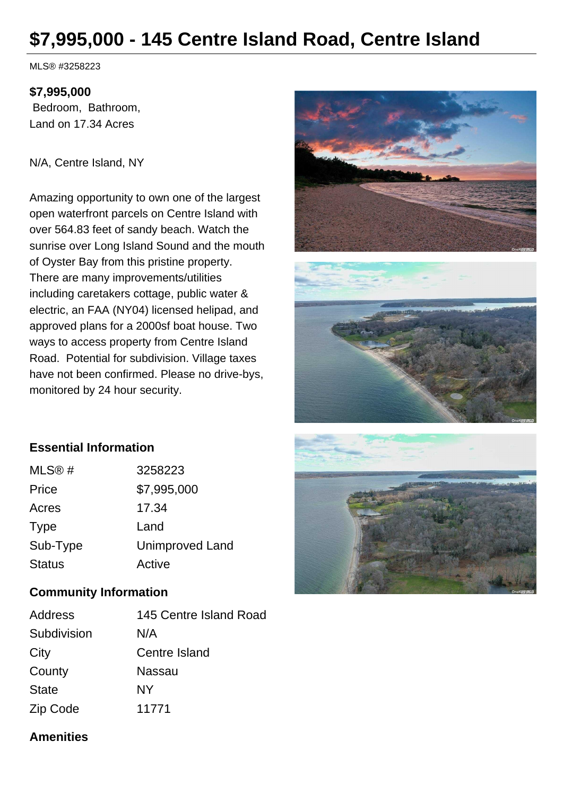# **\$7,995,000 - 145 Centre Island Road, Centre Island**

MLS® #3258223

#### **\$7,995,000**

 Bedroom, Bathroom, Land on 17.34 Acres

#### N/A, Centre Island, NY

Amazing opportunity to own one of the largest open waterfront parcels on Centre Island with over 564.83 feet of sandy beach. Watch the sunrise over Long Island Sound and the mouth of Oyster Bay from this pristine property. There are many improvements/utilities including caretakers cottage, public water & electric, an FAA (NY04) licensed helipad, and approved plans for a 2000sf boat house. Two ways to access property from Centre Island Road. Potential for subdivision. Village taxes have not been confirmed. Please no drive-bys, monitored by 24 hour security.





## **Essential Information**

| MLS@#         | 3258223                |
|---------------|------------------------|
| Price         | \$7,995,000            |
| Acres         | 17.34                  |
| <b>Type</b>   | Land                   |
| Sub-Type      | <b>Unimproved Land</b> |
| <b>Status</b> | Active                 |

## **Community Information**

| Address      | 145 Centre Island Road |
|--------------|------------------------|
| Subdivision  | N/A                    |
| City         | Centre Island          |
| County       | Nassau                 |
| <b>State</b> | NΥ                     |
| Zip Code     | 11771                  |



#### **Amenities**